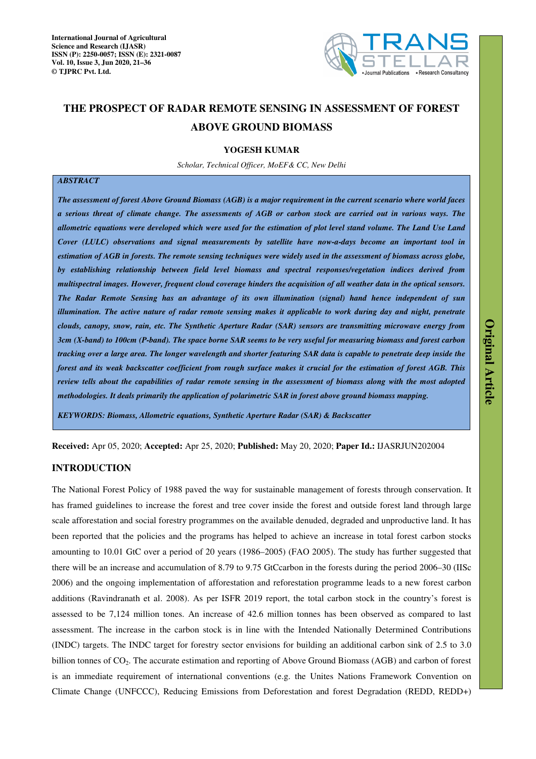

# **THE PROSPECT OF RADAR REMOTE SENSING IN ASSESSMENT OF FOREST ABOVE GROUND BIOMASS**

# **YOGESH KUMAR**

*Scholar, Technical Officer, MoEF& CC, New Delhi* 

# *ABSTRACT*

*The assessment of forest Above Ground Biomass (AGB) is a major requirement in the current scenario where world faces a serious threat of climate change. The assessments of AGB or carbon stock are carried out in various ways. The allometric equations were developed which were used for the estimation of plot level stand volume. The Land Use Land Cover (LULC) observations and signal measurements by satellite have now-a-days become an important tool in estimation of AGB in forests. The remote sensing techniques were widely used in the assessment of biomass across globe, by establishing relationship between field level biomass and spectral responses/vegetation indices derived from multispectral images. However, frequent cloud coverage hinders the acquisition of all weather data in the optical sensors. The Radar Remote Sensing has an advantage of its own illumination (signal) hand hence independent of sun illumination. The active nature of radar remote sensing makes it applicable to work during day and night, penetrate clouds, canopy, snow, rain, etc. The Synthetic Aperture Radar (SAR) sensors are transmitting microwave energy from 3cm (X-band) to 100cm (P-band). The space borne SAR seems to be very useful for measuring biomass and forest carbon tracking over a large area. The longer wavelength and shorter featuring SAR data is capable to penetrate deep inside the forest and its weak backscatter coefficient from rough surface makes it crucial for the estimation of forest AGB. This review tells about the capabilities of radar remote sensing in the assessment of biomass along with the most adopted methodologies. It deals primarily the application of polarimetric SAR in forest above ground biomass mapping.* 

*KEYWORDS: Biomass, Allometric equations, Synthetic Aperture Radar (SAR) & Backscatter* 

**Received:** Apr 05, 2020; **Accepted:** Apr 25, 2020; **Published:** May 20, 2020; **Paper Id.:** IJASRJUN202004

# **INTRODUCTION**

The National Forest Policy of 1988 paved the way for sustainable management of forests through conservation. It has framed guidelines to increase the forest and tree cover inside the forest and outside forest land through large scale afforestation and social forestry programmes on the available denuded, degraded and unproductive land. It has been reported that the policies and the programs has helped to achieve an increase in total forest carbon stocks amounting to 10.01 GtC over a period of 20 years (1986–2005) (FAO 2005). The study has further suggested that there will be an increase and accumulation of 8.79 to 9.75 GtCcarbon in the forests during the period 2006–30 (IISc 2006) and the ongoing implementation of afforestation and reforestation programme leads to a new forest carbon additions (Ravindranath et al. 2008). As per ISFR 2019 report, the total carbon stock in the country's forest is assessed to be 7,124 million tones. An increase of 42.6 million tonnes has been observed as compared to last assessment. The increase in the carbon stock is in line with the Intended Nationally Determined Contributions (INDC) targets. The INDC target for forestry sector envisions for building an additional carbon sink of 2.5 to 3.0 billion tonnes of CO2. The accurate estimation and reporting of Above Ground Biomass (AGB) and carbon of forest is an immediate requirement of international conventions (e.g. the Unites Nations Framework Convention on Climate Change (UNFCCC), Reducing Emissions from Deforestation and forest Degradation (REDD, REDD+)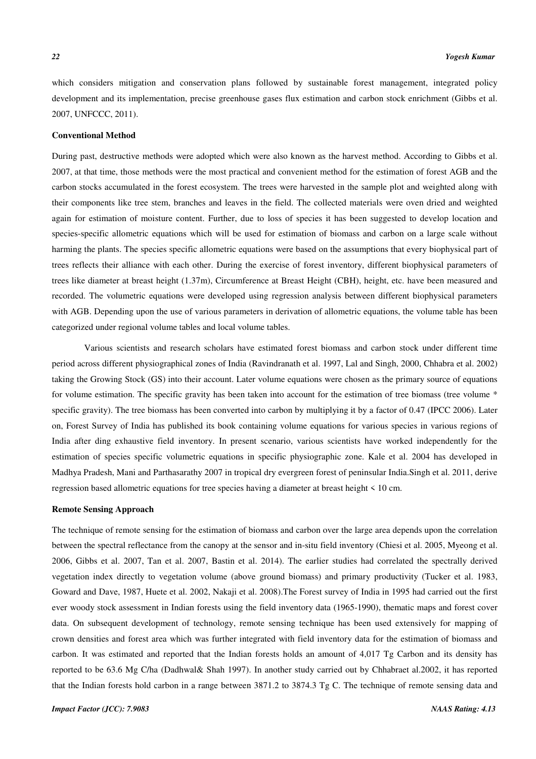which considers mitigation and conservation plans followed by sustainable forest management, integrated policy development and its implementation, precise greenhouse gases flux estimation and carbon stock enrichment (Gibbs et al. 2007, UNFCCC, 2011).

#### **Conventional Method**

During past, destructive methods were adopted which were also known as the harvest method. According to Gibbs et al. 2007, at that time, those methods were the most practical and convenient method for the estimation of forest AGB and the carbon stocks accumulated in the forest ecosystem. The trees were harvested in the sample plot and weighted along with their components like tree stem, branches and leaves in the field. The collected materials were oven dried and weighted again for estimation of moisture content. Further, due to loss of species it has been suggested to develop location and species-specific allometric equations which will be used for estimation of biomass and carbon on a large scale without harming the plants. The species specific allometric equations were based on the assumptions that every biophysical part of trees reflects their alliance with each other. During the exercise of forest inventory, different biophysical parameters of trees like diameter at breast height (1.37m), Circumference at Breast Height (CBH), height, etc. have been measured and recorded. The volumetric equations were developed using regression analysis between different biophysical parameters with AGB. Depending upon the use of various parameters in derivation of allometric equations, the volume table has been categorized under regional volume tables and local volume tables.

Various scientists and research scholars have estimated forest biomass and carbon stock under different time period across different physiographical zones of India (Ravindranath et al. 1997, Lal and Singh, 2000, Chhabra et al. 2002) taking the Growing Stock (GS) into their account. Later volume equations were chosen as the primary source of equations for volume estimation. The specific gravity has been taken into account for the estimation of tree biomass (tree volume \* specific gravity). The tree biomass has been converted into carbon by multiplying it by a factor of 0.47 (IPCC 2006). Later on, Forest Survey of India has published its book containing volume equations for various species in various regions of India after ding exhaustive field inventory. In present scenario, various scientists have worked independently for the estimation of species specific volumetric equations in specific physiographic zone. Kale et al. 2004 has developed in Madhya Pradesh, Mani and Parthasarathy 2007 in tropical dry evergreen forest of peninsular India.Singh et al. 2011, derive regression based allometric equations for tree species having a diameter at breast height < 10 cm.

## **Remote Sensing Approach**

The technique of remote sensing for the estimation of biomass and carbon over the large area depends upon the correlation between the spectral reflectance from the canopy at the sensor and in-situ field inventory (Chiesi et al. 2005, Myeong et al. 2006, Gibbs et al. 2007, Tan et al. 2007, Bastin et al. 2014). The earlier studies had correlated the spectrally derived vegetation index directly to vegetation volume (above ground biomass) and primary productivity (Tucker et al. 1983, Goward and Dave, 1987, Huete et al. 2002, Nakaji et al. 2008).The Forest survey of India in 1995 had carried out the first ever woody stock assessment in Indian forests using the field inventory data (1965-1990), thematic maps and forest cover data. On subsequent development of technology, remote sensing technique has been used extensively for mapping of crown densities and forest area which was further integrated with field inventory data for the estimation of biomass and carbon. It was estimated and reported that the Indian forests holds an amount of 4,017 Tg Carbon and its density has reported to be 63.6 Mg C/ha (Dadhwal& Shah 1997). In another study carried out by Chhabraet al.2002, it has reported that the Indian forests hold carbon in a range between 3871.2 to 3874.3 Tg C. The technique of remote sensing data and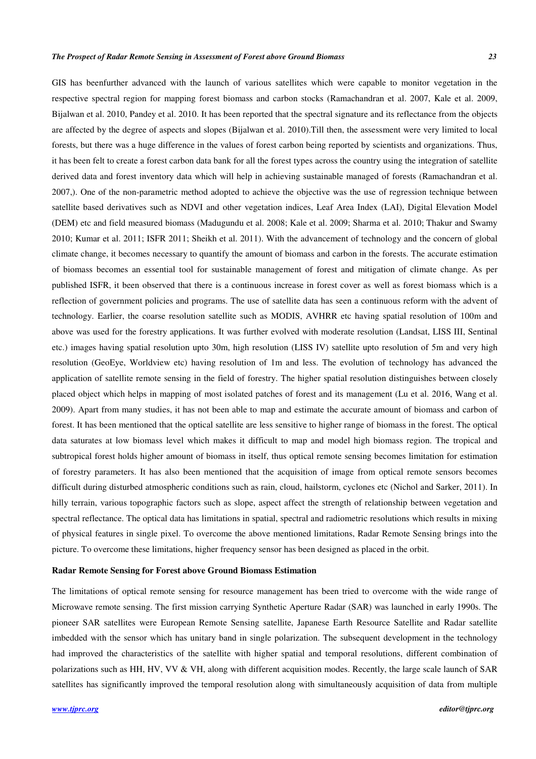#### *The Prospect of Radar Remote Sensing in Assessment of Forest above Ground Biomass 23*

GIS has beenfurther advanced with the launch of various satellites which were capable to monitor vegetation in the respective spectral region for mapping forest biomass and carbon stocks (Ramachandran et al. 2007, Kale et al. 2009, Bijalwan et al. 2010, Pandey et al. 2010. It has been reported that the spectral signature and its reflectance from the objects are affected by the degree of aspects and slopes (Bijalwan et al. 2010).Till then, the assessment were very limited to local forests, but there was a huge difference in the values of forest carbon being reported by scientists and organizations. Thus, it has been felt to create a forest carbon data bank for all the forest types across the country using the integration of satellite derived data and forest inventory data which will help in achieving sustainable managed of forests (Ramachandran et al. 2007,). One of the non-parametric method adopted to achieve the objective was the use of regression technique between satellite based derivatives such as NDVI and other vegetation indices, Leaf Area Index (LAI), Digital Elevation Model (DEM) etc and field measured biomass (Madugundu et al. 2008; Kale et al. 2009; Sharma et al. 2010; Thakur and Swamy 2010; Kumar et al. 2011; ISFR 2011; Sheikh et al. 2011). With the advancement of technology and the concern of global climate change, it becomes necessary to quantify the amount of biomass and carbon in the forests. The accurate estimation of biomass becomes an essential tool for sustainable management of forest and mitigation of climate change. As per published ISFR, it been observed that there is a continuous increase in forest cover as well as forest biomass which is a reflection of government policies and programs. The use of satellite data has seen a continuous reform with the advent of technology. Earlier, the coarse resolution satellite such as MODIS, AVHRR etc having spatial resolution of 100m and above was used for the forestry applications. It was further evolved with moderate resolution (Landsat, LISS III, Sentinal etc.) images having spatial resolution upto 30m, high resolution (LISS IV) satellite upto resolution of 5m and very high resolution (GeoEye, Worldview etc) having resolution of 1m and less. The evolution of technology has advanced the application of satellite remote sensing in the field of forestry. The higher spatial resolution distinguishes between closely placed object which helps in mapping of most isolated patches of forest and its management (Lu et al. 2016, Wang et al. 2009). Apart from many studies, it has not been able to map and estimate the accurate amount of biomass and carbon of forest. It has been mentioned that the optical satellite are less sensitive to higher range of biomass in the forest. The optical data saturates at low biomass level which makes it difficult to map and model high biomass region. The tropical and subtropical forest holds higher amount of biomass in itself, thus optical remote sensing becomes limitation for estimation of forestry parameters. It has also been mentioned that the acquisition of image from optical remote sensors becomes difficult during disturbed atmospheric conditions such as rain, cloud, hailstorm, cyclones etc (Nichol and Sarker, 2011). In hilly terrain, various topographic factors such as slope, aspect affect the strength of relationship between vegetation and spectral reflectance. The optical data has limitations in spatial, spectral and radiometric resolutions which results in mixing of physical features in single pixel. To overcome the above mentioned limitations, Radar Remote Sensing brings into the picture. To overcome these limitations, higher frequency sensor has been designed as placed in the orbit.

## **Radar Remote Sensing for Forest above Ground Biomass Estimation**

The limitations of optical remote sensing for resource management has been tried to overcome with the wide range of Microwave remote sensing. The first mission carrying Synthetic Aperture Radar (SAR) was launched in early 1990s. The pioneer SAR satellites were European Remote Sensing satellite, Japanese Earth Resource Satellite and Radar satellite imbedded with the sensor which has unitary band in single polarization. The subsequent development in the technology had improved the characteristics of the satellite with higher spatial and temporal resolutions, different combination of polarizations such as HH, HV, VV & VH, along with different acquisition modes. Recently, the large scale launch of SAR satellites has significantly improved the temporal resolution along with simultaneously acquisition of data from multiple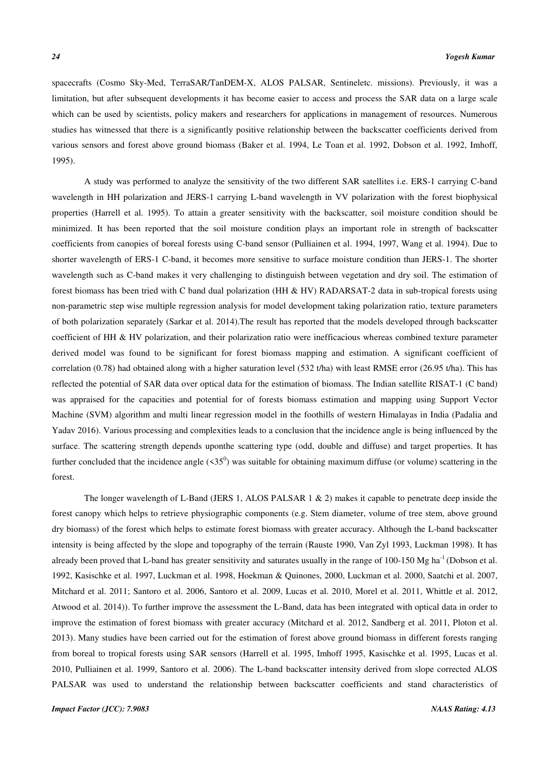spacecrafts (Cosmo Sky-Med, TerraSAR/TanDEM-X, ALOS PALSAR, Sentineletc. missions). Previously, it was a limitation, but after subsequent developments it has become easier to access and process the SAR data on a large scale which can be used by scientists, policy makers and researchers for applications in management of resources. Numerous studies has witnessed that there is a significantly positive relationship between the backscatter coefficients derived from various sensors and forest above ground biomass (Baker et al. 1994, Le Toan et al. 1992, Dobson et al. 1992, Imhoff, 1995).

A study was performed to analyze the sensitivity of the two different SAR satellites i.e. ERS-1 carrying C-band wavelength in HH polarization and JERS-1 carrying L-band wavelength in VV polarization with the forest biophysical properties (Harrell et al. 1995). To attain a greater sensitivity with the backscatter, soil moisture condition should be minimized. It has been reported that the soil moisture condition plays an important role in strength of backscatter coefficients from canopies of boreal forests using C-band sensor (Pulliainen et al. 1994, 1997, Wang et al. 1994). Due to shorter wavelength of ERS-1 C-band, it becomes more sensitive to surface moisture condition than JERS-1. The shorter wavelength such as C-band makes it very challenging to distinguish between vegetation and dry soil. The estimation of forest biomass has been tried with C band dual polarization (HH & HV) RADARSAT-2 data in sub-tropical forests using non-parametric step wise multiple regression analysis for model development taking polarization ratio, texture parameters of both polarization separately (Sarkar et al. 2014).The result has reported that the models developed through backscatter coefficient of HH & HV polarization, and their polarization ratio were inefficacious whereas combined texture parameter derived model was found to be significant for forest biomass mapping and estimation. A significant coefficient of correlation  $(0.78)$  had obtained along with a higher saturation level (532 t/ha) with least RMSE error (26.95 t/ha). This has reflected the potential of SAR data over optical data for the estimation of biomass. The Indian satellite RISAT-1 (C band) was appraised for the capacities and potential for of forests biomass estimation and mapping using Support Vector Machine (SVM) algorithm and multi linear regression model in the foothills of western Himalayas in India (Padalia and Yadav 2016). Various processing and complexities leads to a conclusion that the incidence angle is being influenced by the surface. The scattering strength depends uponthe scattering type (odd, double and diffuse) and target properties. It has further concluded that the incidence angle  $(55^0)$  was suitable for obtaining maximum diffuse (or volume) scattering in the forest.

The longer wavelength of L-Band (JERS 1, ALOS PALSAR  $1 \& 2$ ) makes it capable to penetrate deep inside the forest canopy which helps to retrieve physiographic components (e.g. Stem diameter, volume of tree stem, above ground dry biomass) of the forest which helps to estimate forest biomass with greater accuracy. Although the L-band backscatter intensity is being affected by the slope and topography of the terrain (Rauste 1990, Van Zyl 1993, Luckman 1998). It has already been proved that L-band has greater sensitivity and saturates usually in the range of  $100-150$  Mg ha<sup>-1</sup> (Dobson et al. 1992, Kasischke et al. 1997, Luckman et al. 1998, Hoekman & Quinones, 2000, Luckman et al. 2000, Saatchi et al. 2007, Mitchard et al. 2011; Santoro et al. 2006, Santoro et al. 2009, Lucas et al. 2010, Morel et al. 2011, Whittle et al. 2012, Atwood et al. 2014)). To further improve the assessment the L-Band, data has been integrated with optical data in order to improve the estimation of forest biomass with greater accuracy (Mitchard et al. 2012, Sandberg et al. 2011, Ploton et al. 2013). Many studies have been carried out for the estimation of forest above ground biomass in different forests ranging from boreal to tropical forests using SAR sensors (Harrell et al. 1995, Imhoff 1995, Kasischke et al. 1995, Lucas et al. 2010, Pulliainen et al. 1999, Santoro et al. 2006). The L-band backscatter intensity derived from slope corrected ALOS PALSAR was used to understand the relationship between backscatter coefficients and stand characteristics of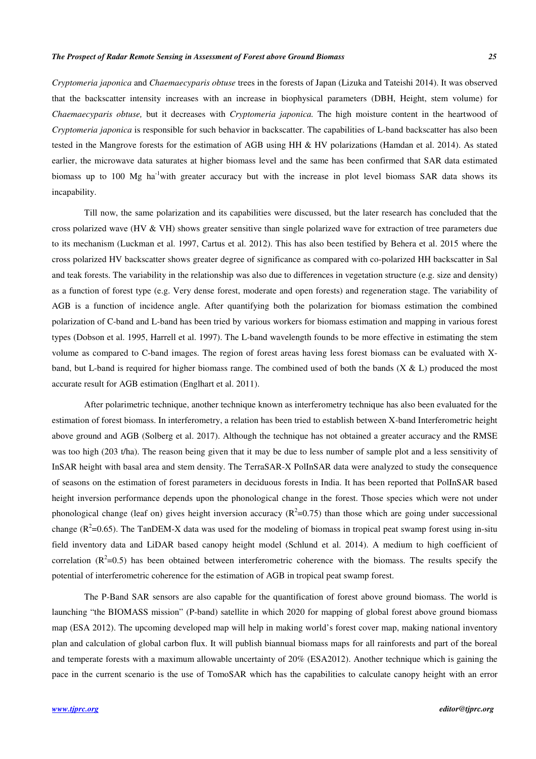*Cryptomeria japonica* and *Chaemaecyparis obtuse* trees in the forests of Japan (Lizuka and Tateishi 2014). It was observed that the backscatter intensity increases with an increase in biophysical parameters (DBH, Height, stem volume) for *Chaemaecyparis obtuse,* but it decreases with *Cryptomeria japonica.* The high moisture content in the heartwood of *Cryptomeria japonica* is responsible for such behavior in backscatter. The capabilities of L-band backscatter has also been tested in the Mangrove forests for the estimation of AGB using HH & HV polarizations (Hamdan et al. 2014). As stated earlier, the microwave data saturates at higher biomass level and the same has been confirmed that SAR data estimated biomass up to 100 Mg ha<sup>-1</sup>with greater accuracy but with the increase in plot level biomass SAR data shows its incapability.

Till now, the same polarization and its capabilities were discussed, but the later research has concluded that the cross polarized wave (HV  $&$  VH) shows greater sensitive than single polarized wave for extraction of tree parameters due to its mechanism (Luckman et al. 1997, Cartus et al. 2012). This has also been testified by Behera et al. 2015 where the cross polarized HV backscatter shows greater degree of significance as compared with co-polarized HH backscatter in Sal and teak forests. The variability in the relationship was also due to differences in vegetation structure (e.g. size and density) as a function of forest type (e.g. Very dense forest, moderate and open forests) and regeneration stage. The variability of AGB is a function of incidence angle. After quantifying both the polarization for biomass estimation the combined polarization of C-band and L-band has been tried by various workers for biomass estimation and mapping in various forest types (Dobson et al. 1995, Harrell et al. 1997). The L-band wavelength founds to be more effective in estimating the stem volume as compared to C-band images. The region of forest areas having less forest biomass can be evaluated with Xband, but L-band is required for higher biomass range. The combined used of both the bands  $(X < L)$  produced the most accurate result for AGB estimation (Englhart et al. 2011).

After polarimetric technique, another technique known as interferometry technique has also been evaluated for the estimation of forest biomass. In interferometry, a relation has been tried to establish between X-band Interferometric height above ground and AGB (Solberg et al. 2017). Although the technique has not obtained a greater accuracy and the RMSE was too high (203 t/ha). The reason being given that it may be due to less number of sample plot and a less sensitivity of InSAR height with basal area and stem density. The TerraSAR-X PolInSAR data were analyzed to study the consequence of seasons on the estimation of forest parameters in deciduous forests in India. It has been reported that PolInSAR based height inversion performance depends upon the phonological change in the forest. Those species which were not under phonological change (leaf on) gives height inversion accuracy  $(R^2=0.75)$  than those which are going under successional change ( $R^2$ =0.65). The TanDEM-X data was used for the modeling of biomass in tropical peat swamp forest using in-situ field inventory data and LiDAR based canopy height model (Schlund et al. 2014). A medium to high coefficient of correlation  $(R^2=0.5)$  has been obtained between interferometric coherence with the biomass. The results specify the potential of interferometric coherence for the estimation of AGB in tropical peat swamp forest.

The P-Band SAR sensors are also capable for the quantification of forest above ground biomass. The world is launching "the BIOMASS mission" (P-band) satellite in which 2020 for mapping of global forest above ground biomass map (ESA 2012). The upcoming developed map will help in making world's forest cover map, making national inventory plan and calculation of global carbon flux. It will publish biannual biomass maps for all rainforests and part of the boreal and temperate forests with a maximum allowable uncertainty of 20% (ESA2012). Another technique which is gaining the pace in the current scenario is the use of TomoSAR which has the capabilities to calculate canopy height with an error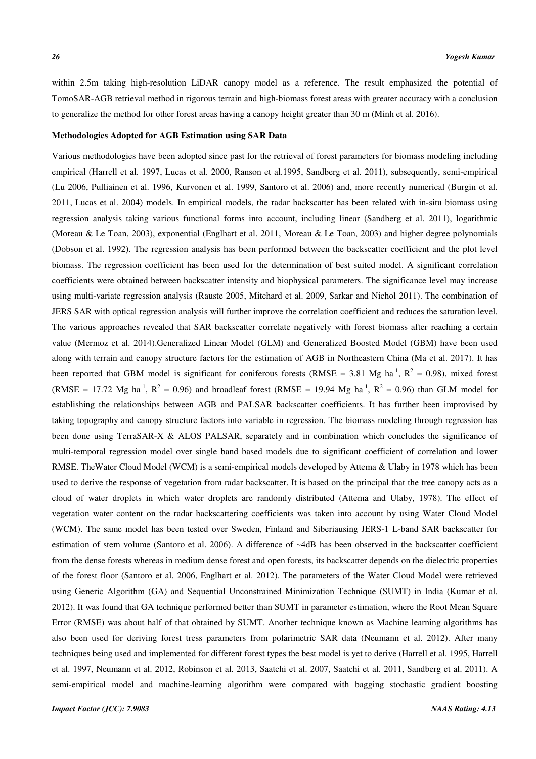within 2.5m taking high-resolution LiDAR canopy model as a reference. The result emphasized the potential of TomoSAR-AGB retrieval method in rigorous terrain and high-biomass forest areas with greater accuracy with a conclusion to generalize the method for other forest areas having a canopy height greater than 30 m (Minh et al. 2016).

#### **Methodologies Adopted for AGB Estimation using SAR Data**

Various methodologies have been adopted since past for the retrieval of forest parameters for biomass modeling including empirical (Harrell et al. 1997, Lucas et al. 2000, Ranson et al.1995, Sandberg et al. 2011), subsequently, semi-empirical (Lu 2006, Pulliainen et al. 1996, Kurvonen et al. 1999, Santoro et al. 2006) and, more recently numerical (Burgin et al. 2011, Lucas et al. 2004) models. In empirical models, the radar backscatter has been related with in-situ biomass using regression analysis taking various functional forms into account, including linear (Sandberg et al. 2011), logarithmic (Moreau & Le Toan, 2003), exponential (Englhart et al. 2011, Moreau & Le Toan, 2003) and higher degree polynomials (Dobson et al. 1992). The regression analysis has been performed between the backscatter coefficient and the plot level biomass. The regression coefficient has been used for the determination of best suited model. A significant correlation coefficients were obtained between backscatter intensity and biophysical parameters. The significance level may increase using multi-variate regression analysis (Rauste 2005, Mitchard et al. 2009, Sarkar and Nichol 2011). The combination of JERS SAR with optical regression analysis will further improve the correlation coefficient and reduces the saturation level. The various approaches revealed that SAR backscatter correlate negatively with forest biomass after reaching a certain value (Mermoz et al. 2014).Generalized Linear Model (GLM) and Generalized Boosted Model (GBM) have been used along with terrain and canopy structure factors for the estimation of AGB in Northeastern China (Ma et al. 2017). It has been reported that GBM model is significant for coniferous forests (RMSE = 3.81 Mg ha<sup>-1</sup>,  $R^2$  = 0.98), mixed forest (RMSE = 17.72 Mg ha<sup>-1</sup>,  $R^2 = 0.96$ ) and broadleaf forest (RMSE = 19.94 Mg ha<sup>-1</sup>,  $R^2 = 0.96$ ) than GLM model for establishing the relationships between AGB and PALSAR backscatter coefficients. It has further been improvised by taking topography and canopy structure factors into variable in regression. The biomass modeling through regression has been done using TerraSAR-X & ALOS PALSAR, separately and in combination which concludes the significance of multi-temporal regression model over single band based models due to significant coefficient of correlation and lower RMSE. TheWater Cloud Model (WCM) is a semi-empirical models developed by Attema & Ulaby in 1978 which has been used to derive the response of vegetation from radar backscatter. It is based on the principal that the tree canopy acts as a cloud of water droplets in which water droplets are randomly distributed (Attema and Ulaby, 1978). The effect of vegetation water content on the radar backscattering coefficients was taken into account by using Water Cloud Model (WCM). The same model has been tested over Sweden, Finland and Siberiausing JERS-1 L-band SAR backscatter for estimation of stem volume (Santoro et al. 2006). A difference of ~4dB has been observed in the backscatter coefficient from the dense forests whereas in medium dense forest and open forests, its backscatter depends on the dielectric properties of the forest floor (Santoro et al. 2006, Englhart et al. 2012). The parameters of the Water Cloud Model were retrieved using Generic Algorithm (GA) and Sequential Unconstrained Minimization Technique (SUMT) in India (Kumar et al. 2012). It was found that GA technique performed better than SUMT in parameter estimation, where the Root Mean Square Error (RMSE) was about half of that obtained by SUMT. Another technique known as Machine learning algorithms has also been used for deriving forest tress parameters from polarimetric SAR data (Neumann et al. 2012). After many techniques being used and implemented for different forest types the best model is yet to derive (Harrell et al. 1995, Harrell et al. 1997, Neumann et al. 2012, Robinson et al. 2013, Saatchi et al. 2007, Saatchi et al. 2011, Sandberg et al. 2011). A semi-empirical model and machine-learning algorithm were compared with bagging stochastic gradient boosting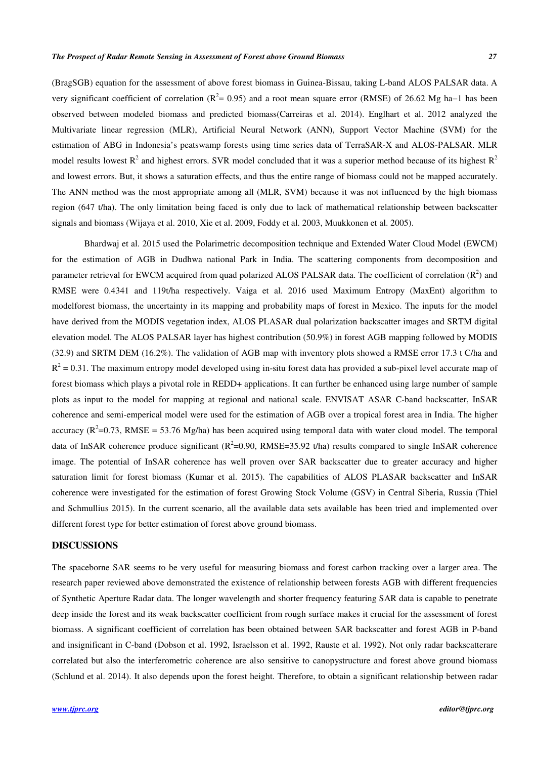(BragSGB) equation for the assessment of above forest biomass in Guinea-Bissau, taking L-band ALOS PALSAR data. A very significant coefficient of correlation ( $R^2$  = 0.95) and a root mean square error (RMSE) of 26.62 Mg ha–1 has been observed between modeled biomass and predicted biomass(Carreiras et al. 2014). Englhart et al. 2012 analyzed the Multivariate linear regression (MLR), Artificial Neural Network (ANN), Support Vector Machine (SVM) for the estimation of ABG in Indonesia's peatswamp forests using time series data of TerraSAR-X and ALOS-PALSAR. MLR model results lowest  $R^2$  and highest errors. SVR model concluded that it was a superior method because of its highest  $R^2$ and lowest errors. But, it shows a saturation effects, and thus the entire range of biomass could not be mapped accurately. The ANN method was the most appropriate among all (MLR, SVM) because it was not influenced by the high biomass region (647 t/ha). The only limitation being faced is only due to lack of mathematical relationship between backscatter signals and biomass (Wijaya et al. 2010, Xie et al. 2009, Foddy et al. 2003, Muukkonen et al. 2005).

Bhardwaj et al. 2015 used the Polarimetric decomposition technique and Extended Water Cloud Model (EWCM) for the estimation of AGB in Dudhwa national Park in India. The scattering components from decomposition and parameter retrieval for EWCM acquired from quad polarized ALOS PALSAR data. The coefficient of correlation  $(R^2)$  and RMSE were 0.4341 and 119t/ha respectively. Vaiga et al. 2016 used Maximum Entropy (MaxEnt) algorithm to modelforest biomass, the uncertainty in its mapping and probability maps of forest in Mexico. The inputs for the model have derived from the MODIS vegetation index, ALOS PLASAR dual polarization backscatter images and SRTM digital elevation model. The ALOS PALSAR layer has highest contribution (50.9%) in forest AGB mapping followed by MODIS (32.9) and SRTM DEM (16.2%). The validation of AGB map with inventory plots showed a RMSE error 17.3 t C/ha and  $R^2$  = 0.31. The maximum entropy model developed using in-situ forest data has provided a sub-pixel level accurate map of forest biomass which plays a pivotal role in REDD+ applications. It can further be enhanced using large number of sample plots as input to the model for mapping at regional and national scale. ENVISAT ASAR C-band backscatter, InSAR coherence and semi-emperical model were used for the estimation of AGB over a tropical forest area in India. The higher accuracy ( $R^2$ =0.73, RMSE = 53.76 Mg/ha) has been acquired using temporal data with water cloud model. The temporal data of InSAR coherence produce significant ( $R^2$ =0.90, RMSE=35.92 t/ha) results compared to single InSAR coherence image. The potential of InSAR coherence has well proven over SAR backscatter due to greater accuracy and higher saturation limit for forest biomass (Kumar et al. 2015). The capabilities of ALOS PLASAR backscatter and InSAR coherence were investigated for the estimation of forest Growing Stock Volume (GSV) in Central Siberia, Russia (Thiel and Schmullius 2015). In the current scenario, all the available data sets available has been tried and implemented over different forest type for better estimation of forest above ground biomass.

# **DISCUSSIONS**

The spaceborne SAR seems to be very useful for measuring biomass and forest carbon tracking over a larger area. The research paper reviewed above demonstrated the existence of relationship between forests AGB with different frequencies of Synthetic Aperture Radar data. The longer wavelength and shorter frequency featuring SAR data is capable to penetrate deep inside the forest and its weak backscatter coefficient from rough surface makes it crucial for the assessment of forest biomass. A significant coefficient of correlation has been obtained between SAR backscatter and forest AGB in P-band and insignificant in C-band (Dobson et al. 1992, Israelsson et al. 1992, Rauste et al. 1992). Not only radar backscatterare correlated but also the interferometric coherence are also sensitive to canopystructure and forest above ground biomass (Schlund et al. 2014). It also depends upon the forest height. Therefore, to obtain a significant relationship between radar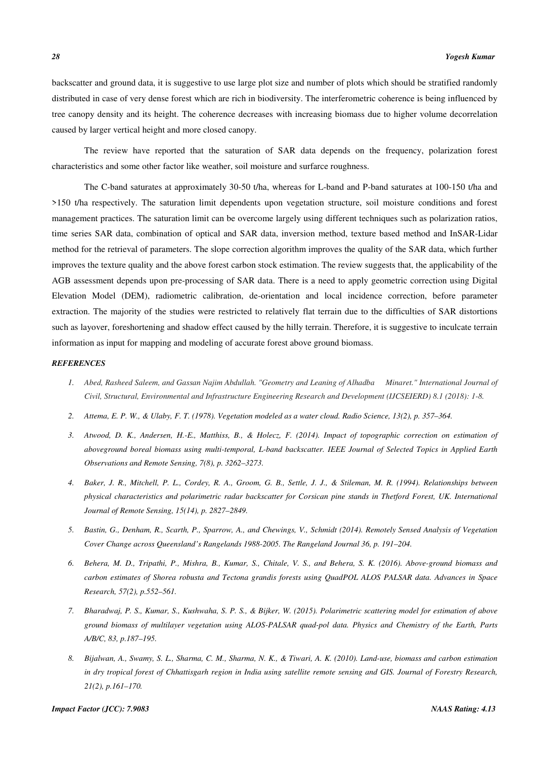backscatter and ground data, it is suggestive to use large plot size and number of plots which should be stratified randomly distributed in case of very dense forest which are rich in biodiversity. The interferometric coherence is being influenced by tree canopy density and its height. The coherence decreases with increasing biomass due to higher volume decorrelation caused by larger vertical height and more closed canopy.

The review have reported that the saturation of SAR data depends on the frequency, polarization forest characteristics and some other factor like weather, soil moisture and surfarce roughness.

The C-band saturates at approximately 30-50 t/ha, whereas for L-band and P-band saturates at 100-150 t/ha and >150 t/ha respectively. The saturation limit dependents upon vegetation structure, soil moisture conditions and forest management practices. The saturation limit can be overcome largely using different techniques such as polarization ratios, time series SAR data, combination of optical and SAR data, inversion method, texture based method and InSAR-Lidar method for the retrieval of parameters. The slope correction algorithm improves the quality of the SAR data, which further improves the texture quality and the above forest carbon stock estimation. The review suggests that, the applicability of the AGB assessment depends upon pre-processing of SAR data. There is a need to apply geometric correction using Digital Elevation Model (DEM), radiometric calibration, de-orientation and local incidence correction, before parameter extraction. The majority of the studies were restricted to relatively flat terrain due to the difficulties of SAR distortions such as layover, foreshortening and shadow effect caused by the hilly terrain. Therefore, it is suggestive to inculcate terrain information as input for mapping and modeling of accurate forest above ground biomass.

## *REFERENCES*

- *1. Abed, Rasheed Saleem, and Gassan Najim Abdullah. "Geometry and Leaning of Alhadba Minaret." International Journal of Civil, Structural, Environmental and Infrastructure Engineering Research and Development (IJCSEIERD) 8.1 (2018): 1-8.*
- *2. Attema, E. P. W., & Ulaby, F. T. (1978). Vegetation modeled as a water cloud. Radio Science, 13(2), p. 357–364.*
- *3. Atwood, D. K., Andersen, H.-E., Matthiss, B., & Holecz, F. (2014). Impact of topographic correction on estimation of aboveground boreal biomass using multi-temporal, L-band backscatter. IEEE Journal of Selected Topics in Applied Earth Observations and Remote Sensing, 7(8), p. 3262–3273.*
- *4. Baker, J. R., Mitchell, P. L., Cordey, R. A., Groom, G. B., Settle, J. J., & Stileman, M. R. (1994). Relationships between physical characteristics and polarimetric radar backscatter for Corsican pine stands in Thetford Forest, UK. International Journal of Remote Sensing, 15(14), p. 2827–2849.*
- *5. Bastin, G., Denham, R., Scarth, P., Sparrow, A., and Chewings, V., Schmidt (2014). Remotely Sensed Analysis of Vegetation Cover Change across Queensland's Rangelands 1988-2005. The Rangeland Journal 36, p. 191–204.*
- *6. Behera, M. D., Tripathi, P., Mishra, B., Kumar, S., Chitale, V. S., and Behera, S. K. (2016). Above-ground biomass and carbon estimates of Shorea robusta and Tectona grandis forests using QuadPOL ALOS PALSAR data. Advances in Space Research, 57(2), p.552–561.*
- *7. Bharadwaj, P. S., Kumar, S., Kushwaha, S. P. S., & Bijker, W. (2015). Polarimetric scattering model for estimation of above ground biomass of multilayer vegetation using ALOS-PALSAR quad-pol data. Physics and Chemistry of the Earth, Parts A/B/C, 83, p.187–195.*
- *8. Bijalwan, A., Swamy, S. L., Sharma, C. M., Sharma, N. K., & Tiwari, A. K. (2010). Land-use, biomass and carbon estimation in dry tropical forest of Chhattisgarh region in India using satellite remote sensing and GIS. Journal of Forestry Research, 21(2), p.161–170.*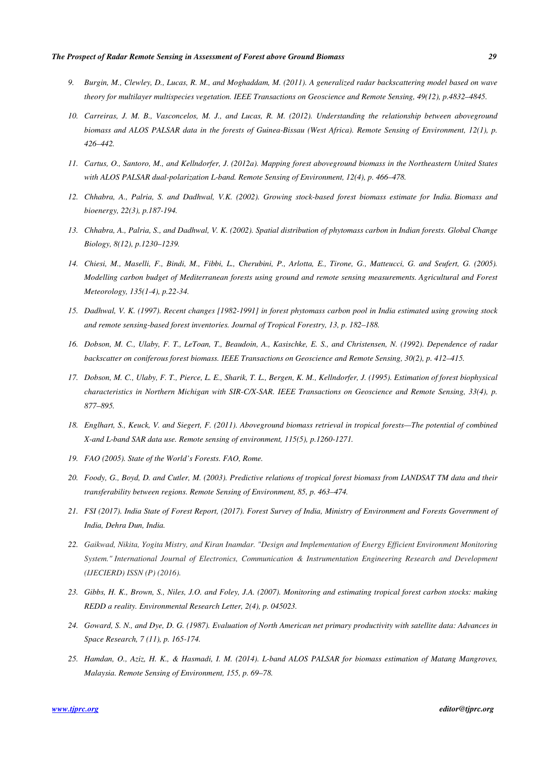- *9. Burgin, M., Clewley, D., Lucas, R. M., and Moghaddam, M. (2011). A generalized radar backscattering model based on wave theory for multilayer multispecies vegetation. IEEE Transactions on Geoscience and Remote Sensing, 49(12), p.4832–4845.*
- *10. Carreiras, J. M. B., Vasconcelos, M. J., and Lucas, R. M. (2012). Understanding the relationship between aboveground biomass and ALOS PALSAR data in the forests of Guinea-Bissau (West Africa). Remote Sensing of Environment, 12(1), p. 426–442.*
- *11. Cartus, O., Santoro, M., and Kellndorfer, J. (2012a). Mapping forest aboveground biomass in the Northeastern United States with ALOS PALSAR dual-polarization L-band. Remote Sensing of Environment, 12(4), p. 466–478.*
- *12. Chhabra, A., Palria, S. and Dadhwal, V.K. (2002). Growing stock-based forest biomass estimate for India. Biomass and bioenergy, 22(3), p.187-194.*
- *13. Chhabra, A., Palria, S., and Dadhwal, V. K. (2002). Spatial distribution of phytomass carbon in Indian forests. Global Change Biology, 8(12), p.1230–1239.*
- *14. Chiesi, M., Maselli, F., Bindi, M., Fibbi, L., Cherubini, P., Arlotta, E., Tirone, G., Matteucci, G. and Seufert, G. (2005). Modelling carbon budget of Mediterranean forests using ground and remote sensing measurements. Agricultural and Forest Meteorology, 135(1-4), p.22-34.*
- *15. Dadhwal, V. K. (1997). Recent changes [1982-1991] in forest phytomass carbon pool in India estimated using growing stock and remote sensing-based forest inventories. Journal of Tropical Forestry, 13, p. 182–188.*
- *16. Dobson, M. C., Ulaby, F. T., LeToan, T., Beaudoin, A., Kasischke, E. S., and Christensen, N. (1992). Dependence of radar backscatter on coniferous forest biomass. IEEE Transactions on Geoscience and Remote Sensing, 30(2), p. 412–415.*
- *17. Dobson, M. C., Ulaby, F. T., Pierce, L. E., Sharik, T. L., Bergen, K. M., Kellndorfer, J. (1995). Estimation of forest biophysical characteristics in Northern Michigan with SIR-C/X-SAR. IEEE Transactions on Geoscience and Remote Sensing, 33(4), p. 877–895.*
- *18. Englhart, S., Keuck, V. and Siegert, F. (2011). Aboveground biomass retrieval in tropical forests—The potential of combined X-and L-band SAR data use. Remote sensing of environment, 115(5), p.1260-1271.*
- *19. FAO (2005). State of the World's Forests. FAO, Rome.*
- *20. Foody, G., Boyd, D. and Cutler, M. (2003). Predictive relations of tropical forest biomass from LANDSAT TM data and their transferability between regions. Remote Sensing of Environment, 85, p. 463–474.*
- *21. FSI (2017). India State of Forest Report, (2017). Forest Survey of India, Ministry of Environment and Forests Government of India, Dehra Dun, India.*
- *22. Gaikwad, Nikita, Yogita Mistry, and Kiran Inamdar. "Design and Implementation of Energy Efficient Environment Monitoring System." International Journal of Electronics, Communication & Instrumentation Engineering Research and Development (IJECIERD) ISSN (P) (2016).*
- *23. Gibbs, H. K., Brown, S., Niles, J.O. and Foley, J.A. (2007). Monitoring and estimating tropical forest carbon stocks: making REDD a reality. Environmental Research Letter, 2(4), p. 045023.*
- *24. Goward, S. N., and Dye, D. G. (1987). Evaluation of North American net primary productivity with satellite data: Advances in Space Research, 7 (11), p. 165-174.*
- *25. Hamdan, O., Aziz, H. K., & Hasmadi, I. M. (2014). L-band ALOS PALSAR for biomass estimation of Matang Mangroves, Malaysia. Remote Sensing of Environment, 155, p. 69–78.*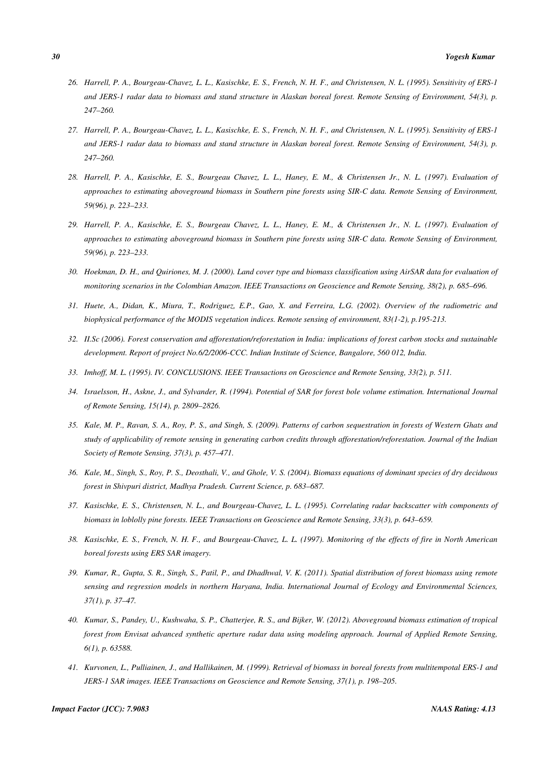- *26. Harrell, P. A., Bourgeau-Chavez, L. L., Kasischke, E. S., French, N. H. F., and Christensen, N. L. (1995). Sensitivity of ERS-1 and JERS-1 radar data to biomass and stand structure in Alaskan boreal forest. Remote Sensing of Environment, 54(3), p. 247–260.*
- *27. Harrell, P. A., Bourgeau-Chavez, L. L., Kasischke, E. S., French, N. H. F., and Christensen, N. L. (1995). Sensitivity of ERS-1 and JERS-1 radar data to biomass and stand structure in Alaskan boreal forest. Remote Sensing of Environment, 54(3), p. 247–260.*
- *28. Harrell, P. A., Kasischke, E. S., Bourgeau Chavez, L. L., Haney, E. M., & Christensen Jr., N. L. (1997). Evaluation of approaches to estimating aboveground biomass in Southern pine forests using SIR-C data. Remote Sensing of Environment, 59(96), p. 223–233.*
- *29. Harrell, P. A., Kasischke, E. S., Bourgeau Chavez, L. L., Haney, E. M., & Christensen Jr., N. L. (1997). Evaluation of approaches to estimating aboveground biomass in Southern pine forests using SIR-C data. Remote Sensing of Environment, 59(96), p. 223–233.*
- *30. Hoekman, D. H., and Quiriones, M. J. (2000). Land cover type and biomass classification using AirSAR data for evaluation of monitoring scenarios in the Colombian Amazon. IEEE Transactions on Geoscience and Remote Sensing, 38(2), p. 685–696.*
- *31. Huete, A., Didan, K., Miura, T., Rodriguez, E.P., Gao, X. and Ferreira, L.G. (2002). Overview of the radiometric and biophysical performance of the MODIS vegetation indices. Remote sensing of environment, 83(1-2), p.195-213.*
- *32. II.Sc (2006). Forest conservation and afforestation/reforestation in India: implications of forest carbon stocks and sustainable development. Report of project No.6/2/2006-CCC. Indian Institute of Science, Bangalore, 560 012, India.*
- *33. Imhoff, M. L. (1995). IV. CONCLUSIONS. IEEE Transactions on Geoscience and Remote Sensing, 33(2), p. 511.*
- *34. Israelsson, H., Askne, J., and Sylvander, R. (1994). Potential of SAR for forest bole volume estimation. International Journal of Remote Sensing, 15(14), p. 2809–2826.*
- *35. Kale, M. P., Ravan, S. A., Roy, P. S., and Singh, S. (2009). Patterns of carbon sequestration in forests of Western Ghats and study of applicability of remote sensing in generating carbon credits through afforestation/reforestation. Journal of the Indian Society of Remote Sensing, 37(3), p. 457–471.*
- *36. Kale, M., Singh, S., Roy, P. S., Deosthali, V., and Ghole, V. S. (2004). Biomass equations of dominant species of dry deciduous forest in Shivpuri district, Madhya Pradesh. Current Science, p. 683–687.*
- *37. Kasischke, E. S., Christensen, N. L., and Bourgeau-Chavez, L. L. (1995). Correlating radar backscatter with components of biomass in loblolly pine forests. IEEE Transactions on Geoscience and Remote Sensing, 33(3), p. 643–659.*
- *38. Kasischke, E. S., French, N. H. F., and Bourgeau-Chavez, L. L. (1997). Monitoring of the effects of fire in North American boreal forests using ERS SAR imagery.*
- *39. Kumar, R., Gupta, S. R., Singh, S., Patil, P., and Dhadhwal, V. K. (2011). Spatial distribution of forest biomass using remote sensing and regression models in northern Haryana, India. International Journal of Ecology and Environmental Sciences, 37(1), p. 37–47.*
- *40. Kumar, S., Pandey, U., Kushwaha, S. P., Chatterjee, R. S., and Bijker, W. (2012). Aboveground biomass estimation of tropical forest from Envisat advanced synthetic aperture radar data using modeling approach. Journal of Applied Remote Sensing, 6(1), p. 63588.*
- *41. Kurvonen, L., Pulliainen, J., and Hallikainen, M. (1999). Retrieval of biomass in boreal forests from multitempotal ERS-1 and JERS-1 SAR images. IEEE Transactions on Geoscience and Remote Sensing, 37(1), p. 198–205.*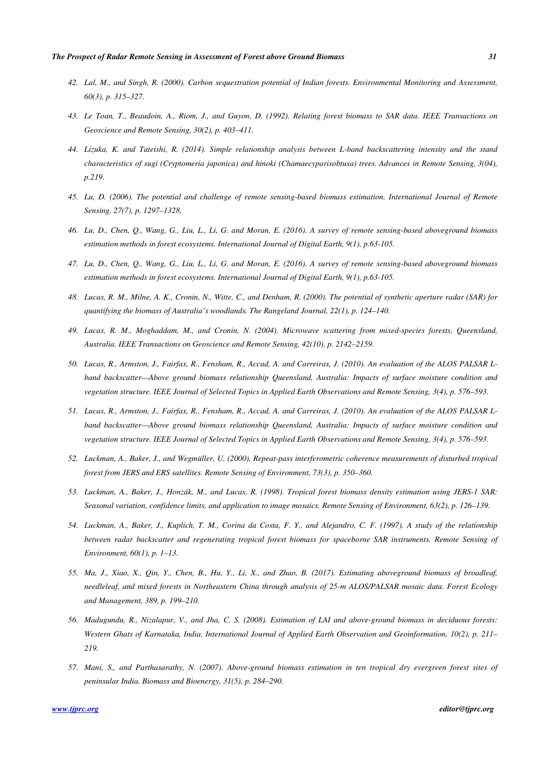- *42. Lal, M., and Singh, R. (2000). Carbon sequestration potential of Indian forests. Environmental Monitoring and Assessment, 60(3), p. 315–327.*
- *43. Le Toan, T., Beaudoin, A., Riom, J., and Guyon, D. (1992). Relating forest biomass to SAR data. IEEE Transactions on Geoscience and Remote Sensing, 30(2), p. 403–411.*
- *44. Lizuka, K. and Tateishi, R. (2014). Simple relationship analysis between L-band backscattering intensity and the stand characteristics of sugi (Cryptomeria japonica) and hinoki (Chamaecyparisobtusa) trees. Advances in Remote Sensing, 3(04), p.219.*
- *45. Lu, D. (2006). The potential and challenge of remote sensing-based biomass estimation. International Journal of Remote Sensing, 27(7), p. 1297–1328.*
- *46. Lu, D., Chen, Q., Wang, G., Liu, L., Li, G. and Moran, E. (2016). A survey of remote sensing-based aboveground biomass estimation methods in forest ecosystems. International Journal of Digital Earth, 9(1), p.63-105.*
- *47. Lu, D., Chen, Q., Wang, G., Liu, L., Li, G. and Moran, E. (2016). A survey of remote sensing-based aboveground biomass estimation methods in forest ecosystems. International Journal of Digital Earth, 9(1), p.63-105.*
- *48. Lucas, R. M., Milne, A. K., Cronin, N., Witte, C., and Denham, R. (2000). The potential of synthetic aperture radar (SAR) for quantifying the biomass of Australia's woodlands. The Rangeland Journal, 22(1), p. 124–140.*
- *49. Lucas, R. M., Moghaddam, M., and Cronin, N. (2004). Microwave scattering from mixed-species forests, Queensland, Australia. IEEE Transactions on Geoscience and Remote Sensing, 42(10), p. 2142–2159.*
- *50. Lucas, R., Armston, J., Fairfax, R., Fensham, R., Accad, A. and Carreiras, J. (2010). An evaluation of the ALOS PALSAR Lband backscatter—Above ground biomass relationship Queensland, Australia: Impacts of surface moisture condition and vegetation structure. IEEE Journal of Selected Topics in Applied Earth Observations and Remote Sensing, 3(4), p. 576–593.*
- *51. Lucas, R., Armston, J., Fairfax, R., Fensham, R., Accad, A. and Carreiras, J. (2010). An evaluation of the ALOS PALSAR Lband backscatter—Above ground biomass relationship Queensland, Australia: Impacts of surface moisture condition and vegetation structure. IEEE Journal of Selected Topics in Applied Earth Observations and Remote Sensing, 3(4), p. 576–593.*
- *52. Luckman, A., Baker, J., and Wegmüller, U. (2000). Repeat-pass interferometric coherence measurements of disturbed tropical forest from JERS and ERS satellites. Remote Sensing of Environment, 73(3), p. 350–360.*
- *53. Luckman, A., Baker, J., Honzák, M., and Lucas, R. (1998). Tropical forest biomass density estimation using JERS-1 SAR: Seasonal variation, confidence limits, and application to image mosaics. Remote Sensing of Environment, 63(2), p. 126–139.*
- *54. Luckman, A., Baker, J., Kuplich, T. M., Corina da Costa, F. Y., and Alejandro, C. F. (1997). A study of the relationship between radar backscatter and regenerating tropical forest biomass for spaceborne SAR instruments. Remote Sensing of Environment, 60(1), p. 1–13.*
- *55. Ma, J., Xiao, X., Qin, Y., Chen, B., Hu, Y., Li, X., and Zhao, B. (2017). Estimating aboveground biomass of broadleaf, needleleaf, and mixed forests in Northeastern China through analysis of 25-m ALOS/PALSAR mosaic data. Forest Ecology and Management, 389, p. 199–210.*
- *56. Madugundu, R., Nizalapur, V., and Jha, C. S. (2008). Estimation of LAI and above-ground biomass in deciduous forests: Western Ghats of Karnataka, India. International Journal of Applied Earth Observation and Geoinformation, 10(2), p. 211– 219.*
- *57. Mani, S., and Parthasarathy, N. (2007). Above-ground biomass estimation in ten tropical dry evergreen forest sites of peninsular India. Biomass and Bioenergy, 31(5), p. 284–290.*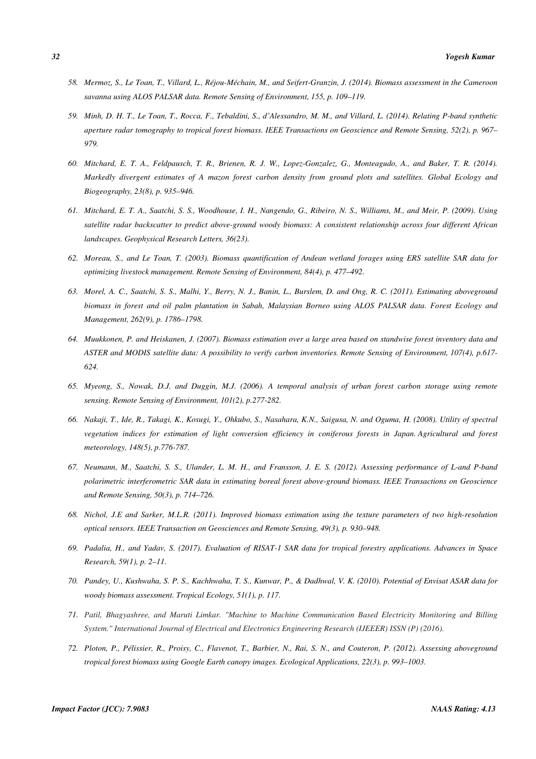- *58. Mermoz, S., Le Toan, T., Villard, L., Réjou-Méchain, M., and Seifert-Granzin, J. (2014). Biomass assessment in the Cameroon savanna using ALOS PALSAR data. Remote Sensing of Environment, 155, p. 109–119.*
- *59. Minh, D. H. T., Le Toan, T., Rocca, F., Tebaldini, S., d'Alessandro, M. M., and Villard, L. (2014). Relating P-band synthetic aperture radar tomography to tropical forest biomass. IEEE Transactions on Geoscience and Remote Sensing, 52(2), p. 967– 979.*
- *60. Mitchard, E. T. A., Feldpausch, T. R., Brienen, R. J. W., Lopez-Gonzalez, G., Monteagudo, A., and Baker, T. R. (2014). Markedly divergent estimates of A mazon forest carbon density from ground plots and satellites. Global Ecology and Biogeography, 23(8), p. 935–946.*
- *61. Mitchard, E. T. A., Saatchi, S. S., Woodhouse, I. H., Nangendo, G., Ribeiro, N. S., Williams, M., and Meir, P. (2009). Using satellite radar backscatter to predict above-ground woody biomass: A consistent relationship across four different African landscapes. Geophysical Research Letters, 36(23).*
- *62. Moreau, S., and Le Toan, T. (2003). Biomass quantification of Andean wetland forages using ERS satellite SAR data for optimizing livestock management. Remote Sensing of Environment, 84(4), p. 477–492.*
- *63. Morel, A. C., Saatchi, S. S., Malhi, Y., Berry, N. J., Banin, L., Burslem, D. and Ong, R. C. (2011). Estimating aboveground biomass in forest and oil palm plantation in Sabah, Malaysian Borneo using ALOS PALSAR data. Forest Ecology and Management, 262(9), p. 1786–1798.*
- *64. Muukkonen, P. and Heiskanen, J. (2007). Biomass estimation over a large area based on standwise forest inventory data and ASTER and MODIS satellite data: A possibility to verify carbon inventories. Remote Sensing of Environment, 107(4), p.617- 624.*
- *65. Myeong, S., Nowak, D.J. and Duggin, M.J. (2006). A temporal analysis of urban forest carbon storage using remote sensing. Remote Sensing of Environment, 101(2), p.277-282.*
- *66. Nakaji, T., Ide, R., Takagi, K., Kosugi, Y., Ohkubo, S., Nasahara, K.N., Saigusa, N. and Oguma, H. (2008). Utility of spectral vegetation indices for estimation of light conversion efficiency in coniferous forests in Japan. Agricultural and forest meteorology, 148(5), p.776-787.*
- *67. Neumann, M., Saatchi, S. S., Ulander, L. M. H., and Fransson, J. E. S. (2012). Assessing performance of L-and P-band polarimetric interferometric SAR data in estimating boreal forest above-ground biomass. IEEE Transactions on Geoscience and Remote Sensing, 50(3), p. 714–726.*
- *68. Nichol, J.E and Sarker, M.L.R. (2011). Improved biomass estimation using the texture parameters of two high-resolution optical sensors. IEEE Transaction on Geosciences and Remote Sensing, 49(3), p. 930–948.*
- *69. Padalia, H., and Yadav, S. (2017). Evaluation of RISAT-1 SAR data for tropical forestry applications. Advances in Space Research, 59(1), p. 2–11.*
- *70. Pandey, U., Kushwaha, S. P. S., Kachhwaha, T. S., Kunwar, P., & Dadhwal, V. K. (2010). Potential of Envisat ASAR data for woody biomass assessment. Tropical Ecology, 51(1), p. 117.*
- *71. Patil, Bhagyashree, and Maruti Limkar. "Machine to Machine Communication Based Electricity Monitoring and Billing System." International Journal of Electrical and Electronics Engineering Research (IJEEER) ISSN (P) (2016).*
- *72. Ploton, P., Pélissier, R., Proisy, C., Flavenot, T., Barbier, N., Rai, S. N., and Couteron, P. (2012). Assessing aboveground tropical forest biomass using Google Earth canopy images. Ecological Applications, 22(3), p. 993–1003.*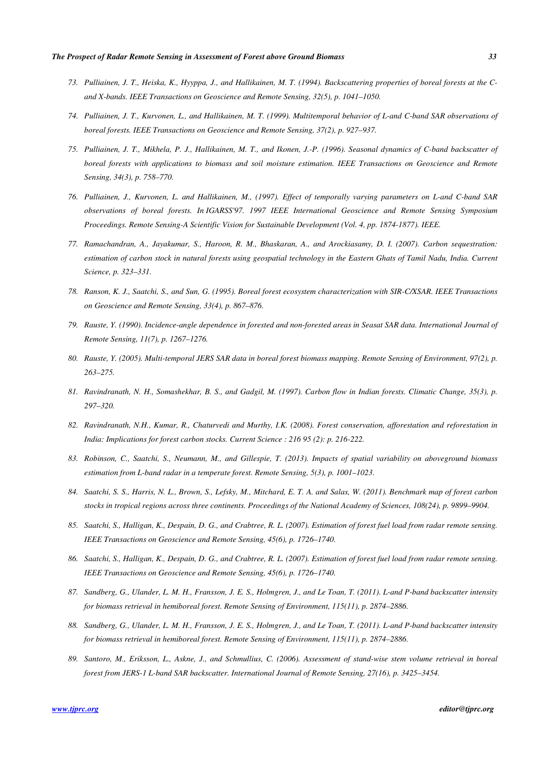- *73. Pulliainen, J. T., Heiska, K., Hyyppa, J., and Hallikainen, M. T. (1994). Backscattering properties of boreal forests at the Cand X-bands. IEEE Transactions on Geoscience and Remote Sensing, 32(5), p. 1041–1050.*
- *74. Pulliainen, J. T., Kurvonen, L., and Hallikainen, M. T. (1999). Multitemporal behavior of L-and C-band SAR observations of boreal forests. IEEE Transactions on Geoscience and Remote Sensing, 37(2), p. 927–937.*
- *75. Pulliainen, J. T., Mikhela, P. J., Hallikainen, M. T., and Ikonen, J.-P. (1996). Seasonal dynamics of C-band backscatter of boreal forests with applications to biomass and soil moisture estimation. IEEE Transactions on Geoscience and Remote Sensing, 34(3), p. 758–770.*
- *76. Pulliainen, J., Kurvonen, L. and Hallikainen, M., (1997). Effect of temporally varying parameters on L-and C-band SAR observations of boreal forests. In IGARSS'97. 1997 IEEE International Geoscience and Remote Sensing Symposium Proceedings. Remote Sensing-A Scientific Vision for Sustainable Development (Vol. 4, pp. 1874-1877). IEEE.*
- *77. Ramachandran, A., Jayakumar, S., Haroon, R. M., Bhaskaran, A., and Arockiasamy, D. I. (2007). Carbon sequestration: estimation of carbon stock in natural forests using geospatial technology in the Eastern Ghats of Tamil Nadu, India. Current Science, p. 323–331.*
- *78. Ranson, K. J., Saatchi, S., and Sun, G. (1995). Boreal forest ecosystem characterization with SIR-C/XSAR. IEEE Transactions on Geoscience and Remote Sensing, 33(4), p. 867–876.*
- *79. Rauste, Y. (1990). Incidence-angle dependence in forested and non-forested areas in Seasat SAR data. International Journal of Remote Sensing, 11(7), p. 1267–1276.*
- *80. Rauste, Y. (2005). Multi-temporal JERS SAR data in boreal forest biomass mapping. Remote Sensing of Environment, 97(2), p. 263–275.*
- *81. Ravindranath, N. H., Somashekhar, B. S., and Gadgil, M. (1997). Carbon flow in Indian forests. Climatic Change, 35(3), p. 297–320.*
- *82. Ravindranath, N.H., Kumar, R., Chaturvedi and Murthy, I.K. (2008). Forest conservation, afforestation and reforestation in India: Implications for forest carbon stocks. Current Science : 216 95 (2): p. 216-222.*
- *83. Robinson, C., Saatchi, S., Neumann, M., and Gillespie, T. (2013). Impacts of spatial variability on aboveground biomass estimation from L-band radar in a temperate forest. Remote Sensing, 5(3), p. 1001–1023.*
- *84. Saatchi, S. S., Harris, N. L., Brown, S., Lefsky, M., Mitchard, E. T. A. and Salas, W. (2011). Benchmark map of forest carbon stocks in tropical regions across three continents. Proceedings of the National Academy of Sciences, 108(24), p. 9899–9904.*
- *85. Saatchi, S., Halligan, K., Despain, D. G., and Crabtree, R. L. (2007). Estimation of forest fuel load from radar remote sensing. IEEE Transactions on Geoscience and Remote Sensing, 45(6), p. 1726–1740.*
- *86. Saatchi, S., Halligan, K., Despain, D. G., and Crabtree, R. L. (2007). Estimation of forest fuel load from radar remote sensing. IEEE Transactions on Geoscience and Remote Sensing, 45(6), p. 1726–1740.*
- *87. Sandberg, G., Ulander, L. M. H., Fransson, J. E. S., Holmgren, J., and Le Toan, T. (2011). L-and P-band backscatter intensity for biomass retrieval in hemiboreal forest. Remote Sensing of Environment, 115(11), p. 2874–2886.*
- *88. Sandberg, G., Ulander, L. M. H., Fransson, J. E. S., Holmgren, J., and Le Toan, T. (2011). L-and P-band backscatter intensity for biomass retrieval in hemiboreal forest. Remote Sensing of Environment, 115(11), p. 2874–2886.*
- *89. Santoro, M., Eriksson, L., Askne, J., and Schmullius, C. (2006). Assessment of stand-wise stem volume retrieval in boreal forest from JERS-1 L-band SAR backscatter. International Journal of Remote Sensing, 27(16), p. 3425–3454.*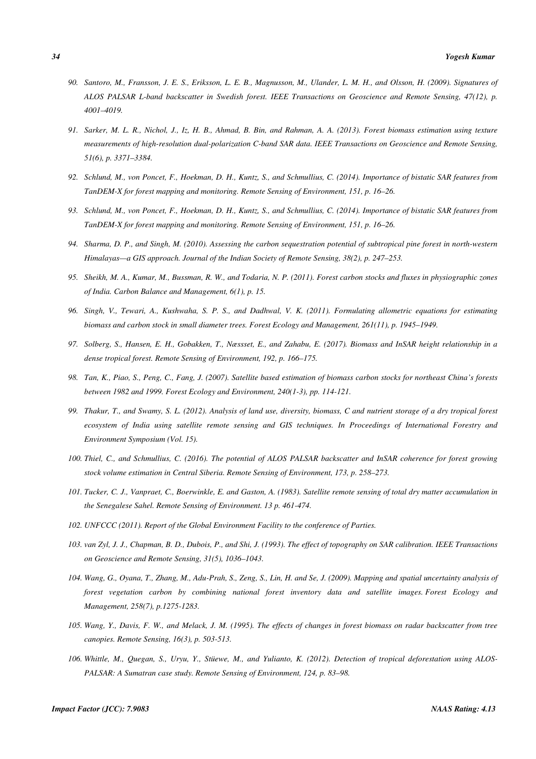- *90. Santoro, M., Fransson, J. E. S., Eriksson, L. E. B., Magnusson, M., Ulander, L. M. H., and Olsson, H. (2009). Signatures of ALOS PALSAR L-band backscatter in Swedish forest. IEEE Transactions on Geoscience and Remote Sensing, 47(12), p. 4001–4019.*
- *91. Sarker, M. L. R., Nichol, J., Iz, H. B., Ahmad, B. Bin, and Rahman, A. A. (2013). Forest biomass estimation using texture measurements of high-resolution dual-polarization C-band SAR data. IEEE Transactions on Geoscience and Remote Sensing, 51(6), p. 3371–3384.*
- *92. Schlund, M., von Poncet, F., Hoekman, D. H., Kuntz, S., and Schmullius, C. (2014). Importance of bistatic SAR features from TanDEM-X for forest mapping and monitoring. Remote Sensing of Environment, 151, p. 16–26.*
- *93. Schlund, M., von Poncet, F., Hoekman, D. H., Kuntz, S., and Schmullius, C. (2014). Importance of bistatic SAR features from TanDEM-X for forest mapping and monitoring. Remote Sensing of Environment, 151, p. 16–26.*
- *94. Sharma, D. P., and Singh, M. (2010). Assessing the carbon sequestration potential of subtropical pine forest in north-western Himalayas—a GIS approach. Journal of the Indian Society of Remote Sensing, 38(2), p. 247–253.*
- *95. Sheikh, M. A., Kumar, M., Bussman, R. W., and Todaria, N. P. (2011). Forest carbon stocks and fluxes in physiographic zones of India. Carbon Balance and Management, 6(1), p. 15.*
- *96. Singh, V., Tewari, A., Kushwaha, S. P. S., and Dadhwal, V. K. (2011). Formulating allometric equations for estimating biomass and carbon stock in small diameter trees. Forest Ecology and Management, 261(11), p. 1945–1949.*
- *97. Solberg, S., Hansen, E. H., Gobakken, T., Næssset, E., and Zahabu, E. (2017). Biomass and InSAR height relationship in a dense tropical forest. Remote Sensing of Environment, 192, p. 166–175.*
- *98. Tan, K., Piao, S., Peng, C., Fang, J. (2007). Satellite based estimation of biomass carbon stocks for northeast China's forests between 1982 and 1999. Forest Ecology and Environment, 240(1-3), pp. 114-121.*
- *99. Thakur, T., and Swamy, S. L. (2012). Analysis of land use, diversity, biomass, C and nutrient storage of a dry tropical forest ecosystem of India using satellite remote sensing and GIS techniques. In Proceedings of International Forestry and Environment Symposium (Vol. 15).*
- *100. Thiel, C., and Schmullius, C. (2016). The potential of ALOS PALSAR backscatter and InSAR coherence for forest growing stock volume estimation in Central Siberia. Remote Sensing of Environment, 173, p. 258–273.*
- *101. Tucker, C. J., Vanpraet, C., Boerwinkle, E. and Gaston, A. (1983). Satellite remote sensing of total dry matter accumulation in the Senegalese Sahel. Remote Sensing of Environment. 13 p. 461-474.*
- *102. UNFCCC (2011). Report of the Global Environment Facility to the conference of Parties.*
- *103. van Zyl, J. J., Chapman, B. D., Dubois, P., and Shi, J. (1993). The effect of topography on SAR calibration. IEEE Transactions on Geoscience and Remote Sensing, 31(5), 1036–1043.*
- *104. Wang, G., Oyana, T., Zhang, M., Adu-Prah, S., Zeng, S., Lin, H. and Se, J. (2009). Mapping and spatial uncertainty analysis of forest vegetation carbon by combining national forest inventory data and satellite images. Forest Ecology and Management, 258(7), p.1275-1283.*
- *105. Wang, Y., Davis, F. W., and Melack, J. M. (1995). The effects of changes in forest biomass on radar backscatter from tree canopies. Remote Sensing, 16(3), p. 503-513.*
- *106. Whittle, M., Quegan, S., Uryu, Y., Stüewe, M., and Yulianto, K. (2012). Detection of tropical deforestation using ALOS-PALSAR: A Sumatran case study. Remote Sensing of Environment, 124, p. 83–98.*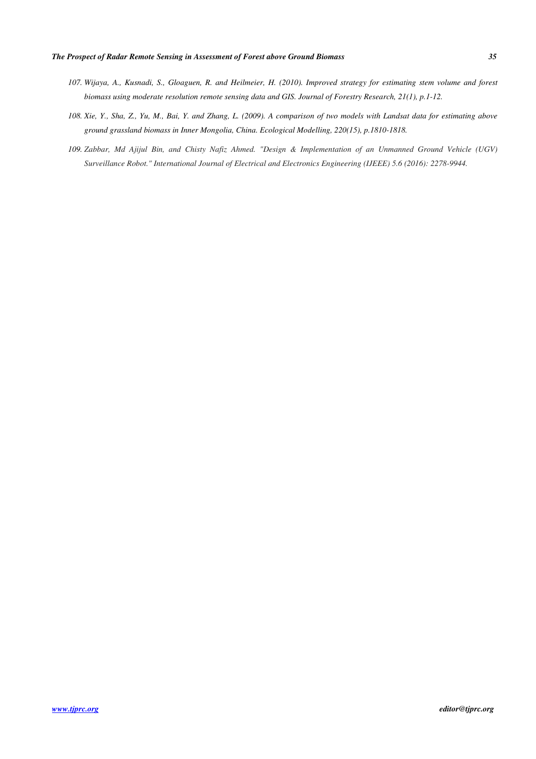- *107. Wijaya, A., Kusnadi, S., Gloaguen, R. and Heilmeier, H. (2010). Improved strategy for estimating stem volume and forest biomass using moderate resolution remote sensing data and GIS. Journal of Forestry Research, 21(1), p.1-12.*
- *108. Xie, Y., Sha, Z., Yu, M., Bai, Y. and Zhang, L. (2009). A comparison of two models with Landsat data for estimating above ground grassland biomass in Inner Mongolia, China. Ecological Modelling, 220(15), p.1810-1818.*
- *109. Zabbar, Md Ajijul Bin, and Chisty Nafiz Ahmed. "Design & Implementation of an Unmanned Ground Vehicle (UGV) Surveillance Robot." International Journal of Electrical and Electronics Engineering (IJEEE) 5.6 (2016): 2278-9944.*